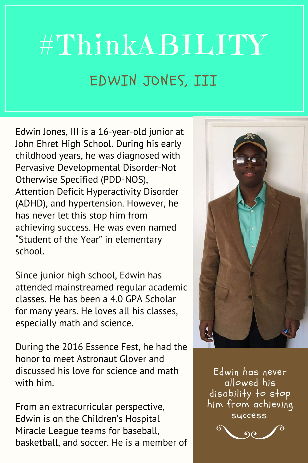## #ThinkABILITY EDWIN JONES, III

Edwin Jones, III is a 16-year-old junior at John Ehret High School. During his early childhood years, he was diagnosed with Pervasive Developmental Disorder-Not Otherwise Specified (PDD-NOS), Attention Deficit Hyperactivity Disorder (ADHD), and hypertension. However, he has never let this stop him from achieving success. He was even named "Student of the Year" in elementary school.

Since junior high school, Edwin has attended mainstreamed regular academic classes. He has been a 4.0 GPA Scholar for many years. He loves all his classes, especially math and science.

During the 2016 Essence Fest, he had the honor to meet Astronaut Glover and discussed his love for science and math with him.

From an extracurricular perspective, Edwin is on the Children's Hospital Miracle League teams for baseball, basketball, and soccer. He is a member of



Edwin has never allowed his disability to stop him from achieving success.